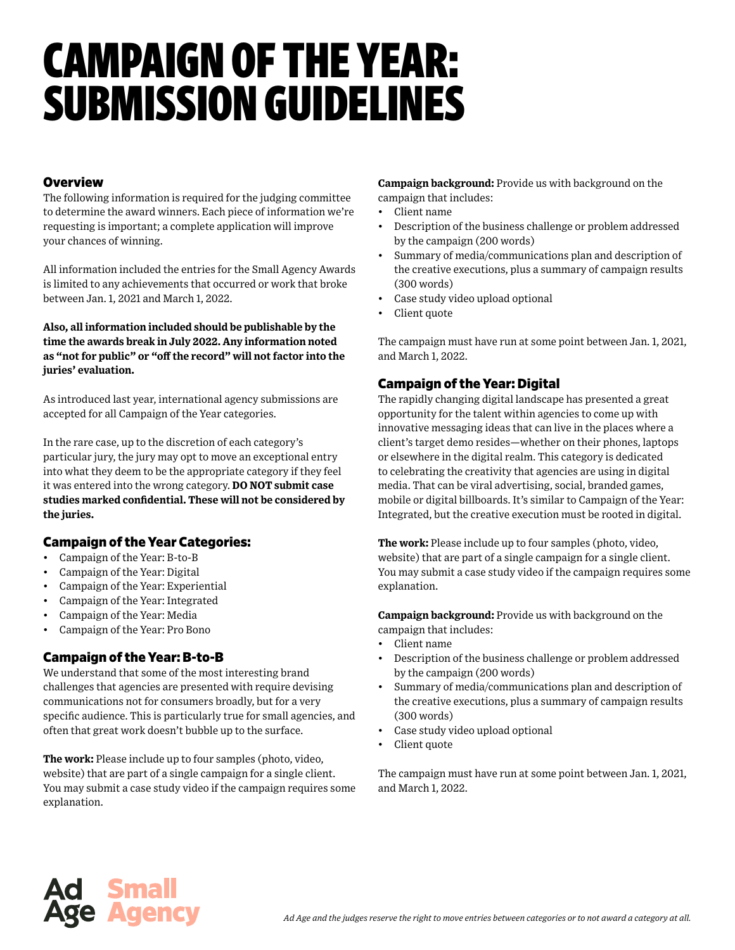# CAMPAIGN OF THE YEAR: SUBMISSION GUIDELINES

### **Overview**

The following information is required for the judging committee to determine the award winners. Each piece of information we're requesting is important; a complete application will improve your chances of winning.

All information included the entries for the Small Agency Awards is limited to any achievements that occurred or work that broke between Jan. 1, 2021 and March 1, 2022.

**Also, all information included should be publishable by the time the awards break in July 2022. Any information noted as "not for public" or "off the record" will not factor into the juries' evaluation.**

As introduced last year, international agency submissions are accepted for all Campaign of the Year categories.

In the rare case, up to the discretion of each category's particular jury, the jury may opt to move an exceptional entry into what they deem to be the appropriate category if they feel it was entered into the wrong category. **DO NOT submit case studies marked confidential. These will not be considered by the juries.**

## Campaign of the Year Categories:

- Campaign of the Year: B-to-B
- Campaign of the Year: Digital
- Campaign of the Year: Experiential
- Campaign of the Year: Integrated
- Campaign of the Year: Media
- Campaign of the Year: Pro Bono

# Campaign of the Year: B-to-B

We understand that some of the most interesting brand challenges that agencies are presented with require devising communications not for consumers broadly, but for a very specific audience. This is particularly true for small agencies, and often that great work doesn't bubble up to the surface.

**The work:** Please include up to four samples (photo, video, website) that are part of a single campaign for a single client. You may submit a case study video if the campaign requires some explanation.

**Campaign background:** Provide us with background on the campaign that includes:

- Client name
- Description of the business challenge or problem addressed by the campaign (200 words)
- Summary of media/communications plan and description of the creative executions, plus a summary of campaign results (300 words)
- Case study video upload optional
- Client quote

The campaign must have run at some point between Jan. 1, 2021, and March 1, 2022.

# Campaign of the Year: Digital

The rapidly changing digital landscape has presented a great opportunity for the talent within agencies to come up with innovative messaging ideas that can live in the places where a client's target demo resides—whether on their phones, laptops or elsewhere in the digital realm. This category is dedicated to celebrating the creativity that agencies are using in digital media. That can be viral advertising, social, branded games, mobile or digital billboards. It's similar to Campaign of the Year: Integrated, but the creative execution must be rooted in digital.

**The work:** Please include up to four samples (photo, video, website) that are part of a single campaign for a single client. You may submit a case study video if the campaign requires some explanation.

**Campaign background:** Provide us with background on the campaign that includes:

- Client name
- Description of the business challenge or problem addressed by the campaign (200 words)
- Summary of media/communications plan and description of the creative executions, plus a summary of campaign results (300 words)
- Case study video upload optional
- Client quote

The campaign must have run at some point between Jan. 1, 2021, and March 1, 2022.

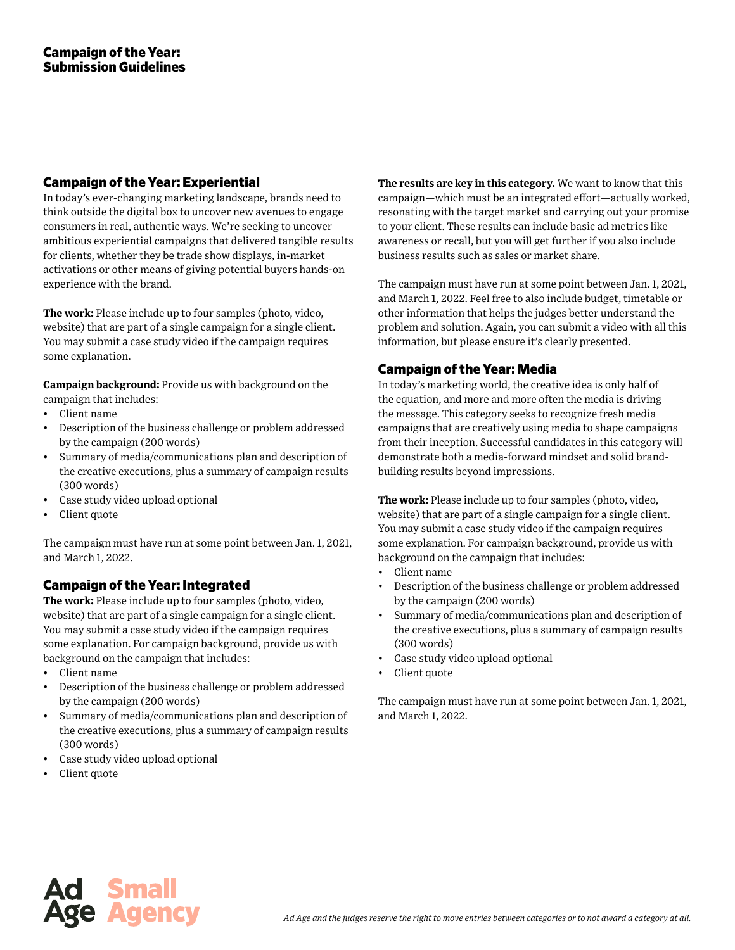#### Campaign of the Year: Experiential

In today's ever-changing marketing landscape, brands need to think outside the digital box to uncover new avenues to engage consumers in real, authentic ways. We're seeking to uncover ambitious experiential campaigns that delivered tangible results for clients, whether they be trade show displays, in-market activations or other means of giving potential buyers hands-on experience with the brand.

**The work:** Please include up to four samples (photo, video, website) that are part of a single campaign for a single client. You may submit a case study video if the campaign requires some explanation.

**Campaign background:** Provide us with background on the campaign that includes:

- Client name
- Description of the business challenge or problem addressed by the campaign (200 words)
- Summary of media/communications plan and description of the creative executions, plus a summary of campaign results (300 words)
- Case study video upload optional
- Client quote

The campaign must have run at some point between Jan. 1, 2021, and March 1, 2022.

## Campaign of the Year: Integrated

**The work:** Please include up to four samples (photo, video, website) that are part of a single campaign for a single client. You may submit a case study video if the campaign requires some explanation. For campaign background, provide us with background on the campaign that includes:

- Client name
- Description of the business challenge or problem addressed by the campaign (200 words)
- Summary of media/communications plan and description of the creative executions, plus a summary of campaign results (300 words)
- Case study video upload optional
- Client quote

**The results are key in this category.** We want to know that this campaign—which must be an integrated effort—actually worked, resonating with the target market and carrying out your promise to your client. These results can include basic ad metrics like awareness or recall, but you will get further if you also include business results such as sales or market share.

The campaign must have run at some point between Jan. 1, 2021, and March 1, 2022. Feel free to also include budget, timetable or other information that helps the judges better understand the problem and solution. Again, you can submit a video with all this information, but please ensure it's clearly presented.

## Campaign of the Year: Media

In today's marketing world, the creative idea is only half of the equation, and more and more often the media is driving the message. This category seeks to recognize fresh media campaigns that are creatively using media to shape campaigns from their inception. Successful candidates in this category will demonstrate both a media-forward mindset and solid brandbuilding results beyond impressions.

**The work:** Please include up to four samples (photo, video, website) that are part of a single campaign for a single client. You may submit a case study video if the campaign requires some explanation. For campaign background, provide us with background on the campaign that includes:

- Client name
- Description of the business challenge or problem addressed by the campaign (200 words)
- Summary of media/communications plan and description of the creative executions, plus a summary of campaign results (300 words)
- Case study video upload optional
- Client quote

The campaign must have run at some point between Jan. 1, 2021, and March 1, 2022.